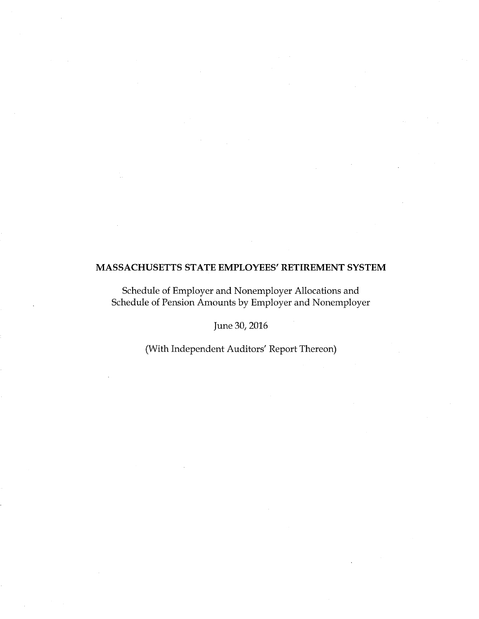Schedule of Employer and Nonemployer Allocations and Schedule of Pension Amounts by Employer and Nonemployer

June 30, 2016

(With Independent Auditors' Report Thereon)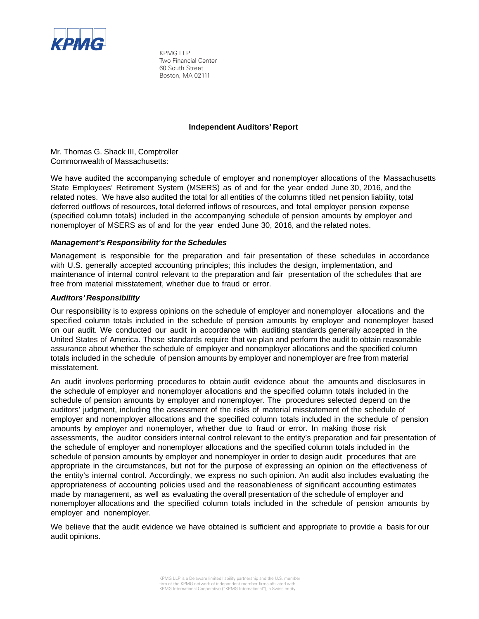

KPMG LLP Two Financial Center 60 South Street Boston, MA 02111

## **Independent Auditors' Report**

Mr. Thomas G. Shack III, Comptroller Commonwealth of Massachusetts:

We have audited the accompanying schedule of employer and nonemployer allocations of the Massachusetts State Employees' Retirement System (MSERS) as of and for the year ended June 30, 2016, and the related notes. We have also audited the total for all entities of the columns titled net pension liability, total deferred outflows of resources, total deferred inflows of resources, and total employer pension expense (specified column totals) included in the accompanying schedule of pension amounts by employer and nonemployer of MSERS as of and for the year ended June 30, 2016, and the related notes.

## *Management's Responsibility for the Schedules*

Management is responsible for the preparation and fair presentation of these schedules in accordance with U.S. generally accepted accounting principles; this includes the design, implementation, and maintenance of internal control relevant to the preparation and fair presentation of the schedules that are free from material misstatement, whether due to fraud or error.

## *Auditors' Responsibility*

Our responsibility is to express opinions on the schedule of employer and nonemployer allocations and the specified column totals included in the schedule of pension amounts by employer and nonemployer based on our audit. We conducted our audit in accordance with auditing standards generally accepted in the United States of America. Those standards require that we plan and perform the audit to obtain reasonable assurance about whether the schedule of employer and nonemployer allocations and the specified column totals included in the schedule of pension amounts by employer and nonemployer are free from material misstatement.

An audit involves performing procedures to obtain audit evidence about the amounts and disclosures in the schedule of employer and nonemployer allocations and the specified column totals included in the schedule of pension amounts by employer and nonemployer. The procedures selected depend on the auditors' judgment, including the assessment of the risks of material misstatement of the schedule of employer and nonemployer allocations and the specified column totals included in the schedule of pension amounts by employer and nonemployer, whether due to fraud or error. In making those risk assessments, the auditor considers internal control relevant to the entity's preparation and fair presentation of the schedule of employer and nonemployer allocations and the specified column totals included in the schedule of pension amounts by employer and nonemployer in order to design audit procedures that are appropriate in the circumstances, but not for the purpose of expressing an opinion on the effectiveness of the entity's internal control. Accordingly, we express no such opinion. An audit also includes evaluating the appropriateness of accounting policies used and the reasonableness of significant accounting estimates made by management, as well as evaluating the overall presentation of the schedule of employer and nonemployer allocations and the specified column totals included in the schedule of pension amounts by employer and nonemployer.

We believe that the audit evidence we have obtained is sufficient and appropriate to provide a basis for our audit opinions.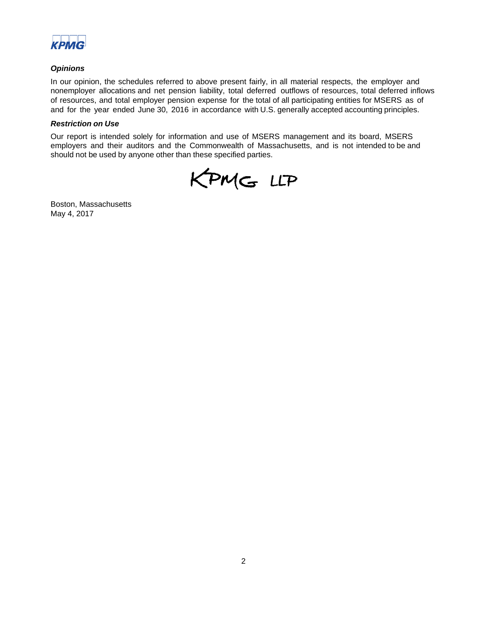

## *Opinions*

In our opinion, the schedules referred to above present fairly, in all material respects, the employer and nonemployer allocations and net pension liability, total deferred outflows of resources, total deferred inflows of resources, and total employer pension expense for the total of all participating entities for MSERS as of and for the year ended June 30, 2016 in accordance with U.S. generally accepted accounting principles.

#### *Restriction on Use*

Our report is intended solely for information and use of MSERS management and its board, MSERS employers and their auditors and the Commonwealth of Massachusetts, and is not intended to be and should not be used by anyone other than these specified parties.

KPMG LLP

Boston, Massachusetts May 4, 2017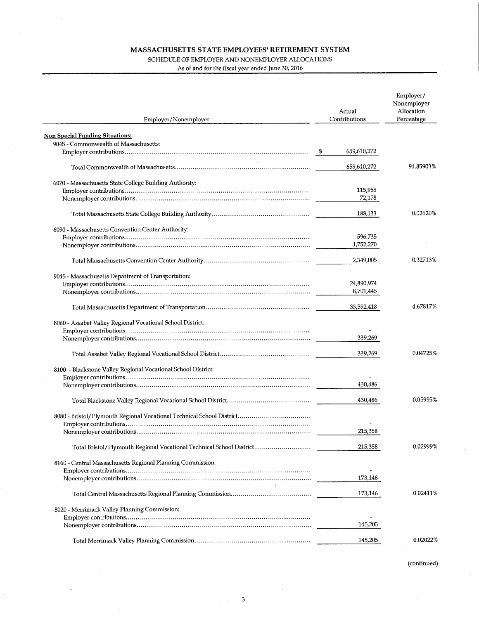$\mathcal{A}$ 

 $\mathcal{A}^{\mathcal{A}}$ 

 $\ddot{\phantom{a}}$ 

 $\mathcal{A}$ 

## SCHEDULE OF EMPLOYER AND NONEMPLOYER ALLOCATIONS

As of and for the fiscal year ended June 30, 2016

| Employer/Nonemployer                                                 | Actual<br>Contributions | Employer/<br>Nonemployer<br>Allocation<br>Percentage |
|----------------------------------------------------------------------|-------------------------|------------------------------------------------------|
| <b>Non Special Funding Situations:</b>                               |                         |                                                      |
| 9045 - Commonwealth of Massachusetts:                                |                         |                                                      |
|                                                                      | 659,610,272             |                                                      |
|                                                                      | 659,610,272             | 91.85903%                                            |
| 6070 - Massachusetts State College Building Authority:               |                         |                                                      |
|                                                                      | 115,955                 |                                                      |
|                                                                      | 72,178                  |                                                      |
|                                                                      | 188,133                 | 0.02620%                                             |
| 6090 - Massachusetts Convention Center Authority:                    |                         |                                                      |
|                                                                      | 596,735                 |                                                      |
|                                                                      | 1,752,270               |                                                      |
|                                                                      | 2,349,005               | 0.32713%                                             |
|                                                                      |                         |                                                      |
| 9045 - Massachusetts Department of Transportation:                   |                         |                                                      |
|                                                                      | 24,890,974<br>8,701,445 |                                                      |
|                                                                      |                         |                                                      |
|                                                                      | 33,592,418              | 4.67817%                                             |
| 8060 - Assabet Valley Regional Vocational School District:           |                         |                                                      |
|                                                                      |                         |                                                      |
|                                                                      | 339,269                 |                                                      |
|                                                                      | 339,269                 | 0.04725%                                             |
|                                                                      |                         |                                                      |
| 8100 - Blackstone Valley Regional Vocational School District:        |                         |                                                      |
|                                                                      |                         |                                                      |
|                                                                      | 430,486                 |                                                      |
|                                                                      | 430,486                 | 0.05995%                                             |
|                                                                      |                         |                                                      |
|                                                                      |                         |                                                      |
|                                                                      | 215,358                 |                                                      |
|                                                                      |                         |                                                      |
| Total Bristol/Plymouth Regional Vocational Technical School District | 215,358                 | 0.02999%                                             |
| 8160 - Central Massachusetts Regional Planning Commission:           |                         |                                                      |
|                                                                      |                         |                                                      |
|                                                                      | 173,146                 |                                                      |
|                                                                      | 173,146                 | 0.02411%                                             |
| 8020 - Merrimack Valley Planning Commission:                         |                         |                                                      |
|                                                                      |                         |                                                      |
|                                                                      | 145,205                 |                                                      |
|                                                                      | 145,205                 | 0.02022%                                             |

3

 $\mathcal{A}^{\prime}$ 

(continued)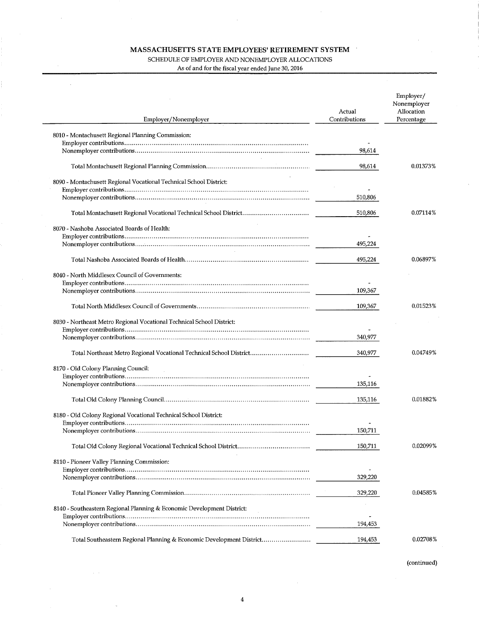# SCHEDULE OF EMPLOYER AND NONEMPLOYER ALLOCATIONS

As of and for the fiscal year ended June 30, 2016

 $\hat{\boldsymbol{\beta}}$ 

 $\tau_{\rm c}$  ,  $\tau_{\rm c}$ 

| Employer/Nonemployer                                                   | Actual<br>Contributions | Employer/<br>Nonemployer<br>Allocation<br>Percentage |
|------------------------------------------------------------------------|-------------------------|------------------------------------------------------|
| 8010 - Montachusett Regional Planning Commission:                      |                         |                                                      |
|                                                                        |                         |                                                      |
|                                                                        | 98,614                  |                                                      |
|                                                                        | 98,614                  | 0.01373%                                             |
| 8090 - Montachusett Regional Vocational Technical School District:     |                         |                                                      |
|                                                                        |                         |                                                      |
|                                                                        | 510,806                 |                                                      |
|                                                                        | 510,806                 | 0.07114%                                             |
| 8070 - Nashoba Associated Boards of Health:                            |                         |                                                      |
|                                                                        |                         |                                                      |
|                                                                        | 495,224                 |                                                      |
|                                                                        | 495,224                 | 0.06897%                                             |
| 8040 - North Middlesex Council of Governments:                         |                         |                                                      |
|                                                                        |                         |                                                      |
|                                                                        | 109.367                 |                                                      |
|                                                                        | 109,367                 | 0.01523%                                             |
| 8030 - Northeast Metro Regional Vocational Technical School District:  |                         |                                                      |
|                                                                        |                         |                                                      |
|                                                                        | 340,977                 |                                                      |
| Total Northeast Metro Regional Vocational Technical School District    | 340,977                 | 0.04749%                                             |
| 8170 - Old Colony Planning Council:                                    |                         |                                                      |
|                                                                        |                         |                                                      |
|                                                                        | 135,116                 |                                                      |
|                                                                        | 135,116                 | 0.01882%                                             |
|                                                                        |                         |                                                      |
| 8180 - Old Colony Regional Vocational Technical School District:       |                         |                                                      |
|                                                                        | 150.711                 |                                                      |
|                                                                        |                         |                                                      |
|                                                                        | 150,711                 | 0.02099%                                             |
| 8110 - Pioneer Valley Planning Commission:                             |                         |                                                      |
|                                                                        |                         |                                                      |
|                                                                        | 329,220                 |                                                      |
|                                                                        | 329,220                 | 0.04585%                                             |
| 8140 - Southeastern Regional Planning & Economic Development District: |                         |                                                      |
|                                                                        |                         |                                                      |
|                                                                        | 194,453                 |                                                      |
| Total Southeastern Regional Planning & Economic Development District   | 194,453                 | 0.02708%                                             |

(continued)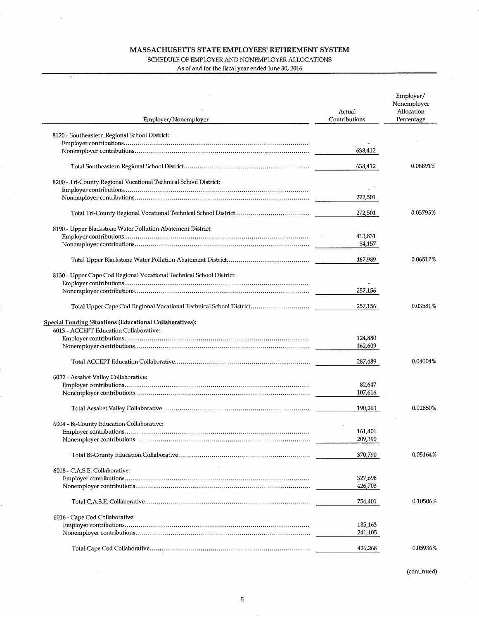As of and for the fiscal year ended June 30, 2016

| Employer/Nonemployer                                                 | Actual<br>Contributions | Employer/<br>Nonemployer<br>Allocation<br>Percentage |
|----------------------------------------------------------------------|-------------------------|------------------------------------------------------|
|                                                                      |                         |                                                      |
| 8120 - Southeastern Regional School District:                        |                         |                                                      |
|                                                                      | 638,412                 |                                                      |
|                                                                      |                         |                                                      |
|                                                                      | 638,412                 | 0.08891%                                             |
| 8200 - Tri-County Regional Vocational Technical School District:     |                         |                                                      |
|                                                                      |                         |                                                      |
|                                                                      | 272,501                 |                                                      |
|                                                                      | 272,501                 | 0.03795%                                             |
|                                                                      |                         |                                                      |
| 8190 - Upper Blackstone Water Pollution Abatement District:          |                         |                                                      |
|                                                                      | 413,831                 |                                                      |
|                                                                      | 54,157                  |                                                      |
|                                                                      | 467,989                 | 0.06517%                                             |
| 8130 - Upper Cape Cod Regional Vocational Technical School District: |                         |                                                      |
|                                                                      |                         |                                                      |
|                                                                      | 257,156                 |                                                      |
| Total Upper Cape Cod Regional Vocational Technical School District   | 257,156                 | 0.03581%                                             |
| <b>Special Funding Situations (Educational Collaboratives):</b>      |                         |                                                      |
| 6013 - ACCEPT Education Collaborative:                               |                         |                                                      |
|                                                                      | 124,880                 |                                                      |
|                                                                      | 162,609                 |                                                      |
|                                                                      | 287,489                 | 0.04004%                                             |
| 6022 - Assabet Valley Collaborative:                                 |                         |                                                      |
|                                                                      | 82,647                  |                                                      |
|                                                                      | 107,616                 |                                                      |
|                                                                      | 190,263                 | 0.02650%                                             |
|                                                                      |                         |                                                      |
| 6004 - Bi-County Education Collaborative:                            |                         |                                                      |
|                                                                      | 161,401                 |                                                      |
|                                                                      | 209,390                 |                                                      |
|                                                                      | 370,790                 | 0.05164%                                             |
| 6018 - C.A.S.E. Collaborative:                                       |                         |                                                      |
|                                                                      | 327,698                 |                                                      |
|                                                                      | 426,703                 |                                                      |
|                                                                      | 754,401                 | 0.10506%                                             |
| 6016 - Cape Cod Collaborative:                                       |                         |                                                      |
|                                                                      | 185,163                 |                                                      |
|                                                                      | 241,105                 |                                                      |
|                                                                      | 426,268                 | 0.05936%                                             |
|                                                                      |                         |                                                      |

(continued)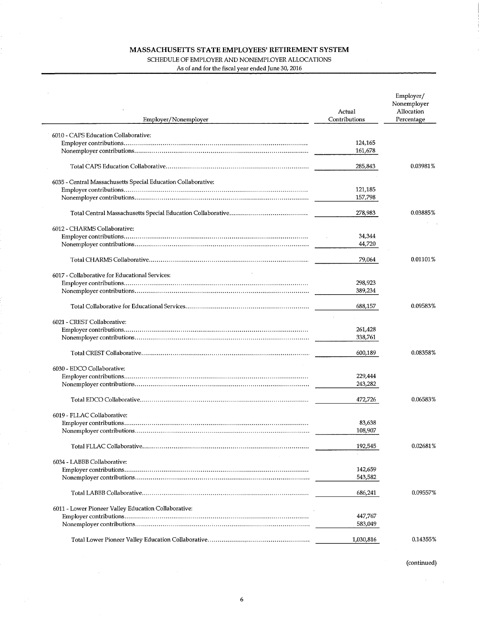## SCHEDULE OF EMPLOYER AND NONEMPLOYER ALLOCATIONS

 $\overline{a}$ 

 $\sim 10^{-1}$ 

As of and for the fiscal year ended June 30, 2016

| Employer/Nonemployer                                          | Actual<br>Contributions | Employer/<br>Nonemployer<br>Allocation<br>Percentage |
|---------------------------------------------------------------|-------------------------|------------------------------------------------------|
| 6010 - CAPS Education Collaborative:                          |                         |                                                      |
|                                                               | 124,165                 |                                                      |
|                                                               | 161,678                 |                                                      |
|                                                               | 285,843                 | 0.03981%                                             |
| 6035 - Central Massachusetts Special Education Collaborative: |                         |                                                      |
|                                                               | 121,185                 |                                                      |
|                                                               | 157,798                 |                                                      |
|                                                               | 278,983                 | 0.03885%                                             |
|                                                               |                         |                                                      |
| 6012 - CHARMS Collaborative:                                  | 34,344                  |                                                      |
|                                                               | 44,720                  |                                                      |
|                                                               |                         |                                                      |
|                                                               | 79,064                  | 0.01101%                                             |
| 6017 - Collaborative for Educational Services:                |                         |                                                      |
|                                                               | 298,923                 |                                                      |
|                                                               | 389,234                 |                                                      |
|                                                               | 688,157                 | 0.09583%                                             |
| 6021 - CREST Collaborative:                                   |                         |                                                      |
|                                                               | 261,428                 |                                                      |
|                                                               | 338,761                 |                                                      |
|                                                               | 600,189                 | 0.08358%                                             |
|                                                               |                         |                                                      |
| 6030 - EDCO Collaborative:                                    |                         |                                                      |
|                                                               | 229,444                 |                                                      |
|                                                               | 243,282                 |                                                      |
|                                                               | 472,726                 | 0.06583%                                             |
| 6019 - FLLAC Collaborative:                                   |                         |                                                      |
|                                                               | 83,638                  |                                                      |
|                                                               | 108,907                 |                                                      |
|                                                               |                         |                                                      |
|                                                               | 192,545                 | 0.02681%                                             |
| 6034 - LABBB Collaborative:                                   |                         |                                                      |
|                                                               | 142,659                 |                                                      |
|                                                               | 543,582                 |                                                      |
|                                                               | 686,241                 | 0.09557%                                             |
|                                                               |                         |                                                      |
| 6011 - Lower Pioneer Valley Education Collaborative:          |                         |                                                      |
|                                                               | 447,767                 |                                                      |
|                                                               | 583,049                 |                                                      |
|                                                               | 1,030,816               | 0.14355%                                             |

 $\mathcal{A}=\mathcal{A}$ 

6

 $\sim 10^{-1}$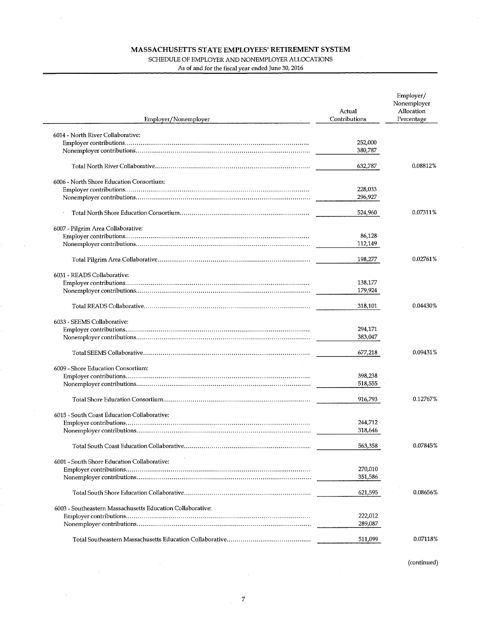## SCHEDULE OF EMPLOYER AND NONEMPLOYER ALLOCATIONS

As of and for the fiscal year ended June 30, 2016

 $\overline{a}$ 

 $\sim$   $\alpha$ 

 $\sim 10$ 

 $\ddot{\phantom{0}}$ 

| Employer/Nonemployer                                       | Actual<br>Contributions | Employer/<br>Nonemployer<br>Allocation<br>Percentage |
|------------------------------------------------------------|-------------------------|------------------------------------------------------|
| 6014 - North River Collaborative:                          |                         |                                                      |
|                                                            | 252,000                 |                                                      |
|                                                            | 380,787                 |                                                      |
|                                                            |                         |                                                      |
|                                                            | 632,787                 | 0.08812%                                             |
| 6006 - North Shore Education Consortium:                   |                         |                                                      |
|                                                            | 228,033                 |                                                      |
|                                                            | 296,927                 |                                                      |
|                                                            | 524,960                 | 0.07311%                                             |
| 6007 - Pilgrim Area Collaborative:                         |                         |                                                      |
|                                                            | 86,128                  |                                                      |
|                                                            | 112,149                 |                                                      |
|                                                            | 198,277                 | $0.02761\%$                                          |
| 6031 - READS Collaborative:                                |                         |                                                      |
|                                                            | 138,177                 |                                                      |
|                                                            | 179,924                 |                                                      |
|                                                            | 318,101                 | 0.04430%                                             |
|                                                            |                         |                                                      |
| 6033 - SEEMS Collaborative:                                |                         |                                                      |
|                                                            | 294,171                 |                                                      |
|                                                            | 383,047                 |                                                      |
|                                                            | 677,218                 | 0.09431%                                             |
| 6009 - Shore Education Consortium:                         |                         |                                                      |
|                                                            | 398,238                 |                                                      |
|                                                            | 518,555                 |                                                      |
|                                                            | 916,793                 | 0.12767%                                             |
|                                                            |                         |                                                      |
| 6015 - South Coast Education Collaborative:                | 244,712                 |                                                      |
|                                                            | 318,646                 |                                                      |
|                                                            |                         |                                                      |
|                                                            | 563,358                 | 0.07845%                                             |
| 6001 - South Shore Education Collaborative:                |                         |                                                      |
|                                                            | 270,010                 |                                                      |
|                                                            | 351,586                 |                                                      |
|                                                            | 621,595                 | 0.08656%                                             |
| 6003 - Southeastern Massachusetts Education Collaborative: |                         |                                                      |
|                                                            | 222,012                 |                                                      |
|                                                            | 289,087                 |                                                      |
|                                                            | 511,099                 | 0.07118%                                             |

(continued)

 $\bar{\mathcal{A}}$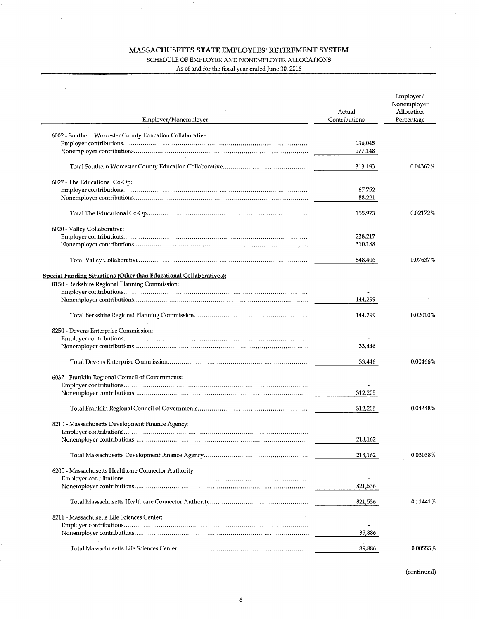$\hat{\boldsymbol{\alpha}}$ 

 $\sim$ 

 $\sim$ 

SCHEDULE OF EMPLOYER AND NONEMPLOYER ALLOCATIONS

As of and for the fiscal year ended June 30, 2016

| Employer/Nonemployer                                                       | Actual<br>Contributions | Employer/<br>Nonemployer<br>Allocation<br>Percentage |
|----------------------------------------------------------------------------|-------------------------|------------------------------------------------------|
| 6002 - Southern Worcester County Education Collaborative:                  |                         |                                                      |
|                                                                            | 136,045                 |                                                      |
|                                                                            | 177,148                 |                                                      |
|                                                                            | 313,193                 | 0.04362%                                             |
| 6027 - The Educational Co-Op:                                              |                         |                                                      |
|                                                                            | 67,752                  |                                                      |
|                                                                            | 88,221                  |                                                      |
|                                                                            | 155,973                 | 0.02172%                                             |
| 6020 - Valley Collaborative:                                               |                         |                                                      |
|                                                                            | 238,217                 |                                                      |
|                                                                            | 310,188                 |                                                      |
|                                                                            | 548,406                 | 0.07637%                                             |
| <b>Special Funding Situations (Other than Educational Collaboratives):</b> |                         |                                                      |
| 8150 - Berkshire Regional Planning Commission:                             |                         |                                                      |
|                                                                            |                         |                                                      |
|                                                                            | 144,299                 |                                                      |
|                                                                            | 144,299                 | 0.02010%                                             |
| 8250 - Devens Enterprise Commission:                                       |                         |                                                      |
|                                                                            |                         |                                                      |
|                                                                            | 33,446                  |                                                      |
|                                                                            | 33,446                  | 0.00466%                                             |
| 6037 - Franklin Regional Council of Governments:                           |                         |                                                      |
|                                                                            |                         |                                                      |
|                                                                            | 312,205                 |                                                      |
|                                                                            | 312,205                 | 0.04348%                                             |
|                                                                            |                         |                                                      |
| 8210 - Massachusetts Development Finance Agency:                           |                         |                                                      |
|                                                                            |                         |                                                      |
|                                                                            | 218,162                 |                                                      |
|                                                                            | 218,162                 | 0.03038%                                             |
| 6200 - Massachusetts Healthcare Connector Authority:                       |                         |                                                      |
|                                                                            |                         |                                                      |
|                                                                            | 821,536                 |                                                      |
|                                                                            | 821,536                 | 0.11441%                                             |
| 8211 - Massachusetts Life Sciences Center:                                 |                         |                                                      |
|                                                                            |                         |                                                      |
|                                                                            | 39,886                  |                                                      |
|                                                                            | 39,886                  | 0.00555%                                             |

(continued)

 $\bar{z}$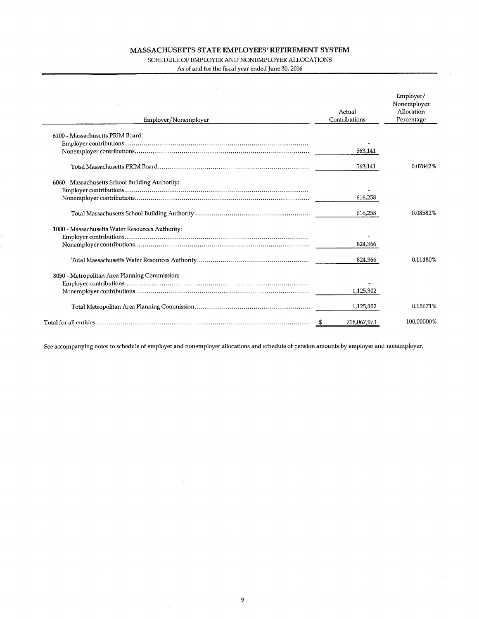SCHEDULE OF EMPLOYER AND NONEMPLOYER ALLOCATIONS

As of and for the fiscal year ended June 30, 2016

| Employer/Nonemployer                            | Actual<br>Contributions | Employer/<br>Nonemployer<br>Allocation<br>Percentage |
|-------------------------------------------------|-------------------------|------------------------------------------------------|
| 6100 - Massachusetts PRIM Board:                |                         |                                                      |
|                                                 |                         |                                                      |
|                                                 | 563,141                 |                                                      |
|                                                 | 563,141                 | 0.07842%                                             |
| 6060 - Massachusetts School Building Authority: |                         |                                                      |
|                                                 |                         |                                                      |
|                                                 | 616.258                 |                                                      |
|                                                 | 616,258                 | 0.08582%                                             |
| 1080 - Massachusetts Water Resources Authority: |                         |                                                      |
|                                                 |                         |                                                      |
|                                                 | 824,366                 |                                                      |
|                                                 | 824,366                 | 0.11480%                                             |
| 8050 - Metropolitan Area Planning Commission:   |                         |                                                      |
|                                                 |                         |                                                      |
|                                                 | 1,125,302               |                                                      |
|                                                 | 1,125,302               | 0.15671%                                             |
|                                                 | 718,067,973             | 100.00000%                                           |

See accompanying notes to schedule of employer and nonemployer allocations and schedule of pension amounts by employer and nonemployer.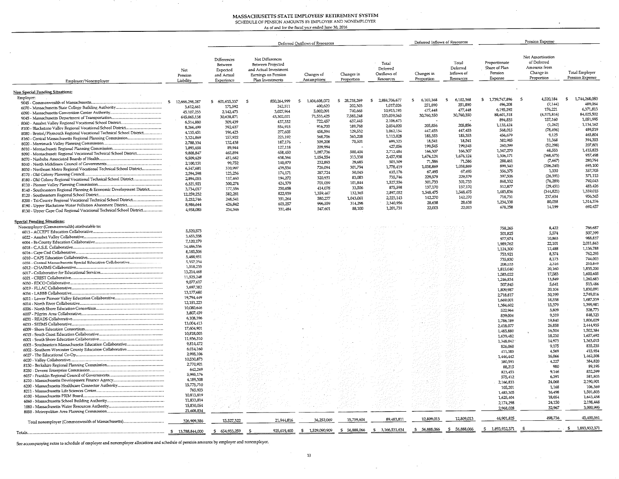#### SYSTEM<br>PLOYER MASSACHUSETTS STATE EMPLOYEES' RETIREMENT SY<br>SCHEDULE OF PENSION AMOUNTS BY EMPLOYER AND NONEMPL<br>As of and for the fiscal year ended June 30, 2016

u

 $\cdot$ 

|                                                                                                                                   |                             |                                                                |                 |                                                                                       | Deferred Outflows of Resources |                            |                                                      | Deferred Inflows of Resources |                                              |                                                      | Pension Expense                                                            |                                          |
|-----------------------------------------------------------------------------------------------------------------------------------|-----------------------------|----------------------------------------------------------------|-----------------|---------------------------------------------------------------------------------------|--------------------------------|----------------------------|------------------------------------------------------|-------------------------------|----------------------------------------------|------------------------------------------------------|----------------------------------------------------------------------------|------------------------------------------|
| Employer/Nonemployer                                                                                                              | Net<br>Pension<br>Liability | Differences<br>Between<br>Expected<br>and Actual<br>Experience | Net Differences | Between Projected<br>and Actual Investment<br>Earnings on Pension<br>Plan Investments | Changes of<br>Assumptions      | Changes in<br>Proportion   | Total<br>Deferred<br>Outflows of<br><b>Resources</b> | Changes in<br>Proportion      | Total<br>Deferred<br>Inflows of<br>Resources | Proportionate<br>Share of Plan<br>Pension<br>Expense | Net Amortization<br>of Deferred<br>Amounts from<br>Change in<br>Proportion | <b>Total Employer</b><br>Pension Expense |
| <b>Non Special Funding Situations:</b>                                                                                            |                             |                                                                |                 |                                                                                       |                                |                            |                                                      |                               |                                              |                                                      |                                                                            |                                          |
| Employer:                                                                                                                         | 12,666,298,287<br>- 5       | 601,615,337<br>\$                                              | -S              | 850,264,999                                                                           | 1,404,608,072<br>-S            | 28.218.269<br>$\mathbf{s}$ | 2,884,706,677<br>- 5                                 | 6,102,368<br>s                | 6,102,368<br>s                               | \$1,739,747,896                                      | 4,520,184<br>- 5                                                           | 1,744,268,080<br>s.                      |
| 6070 - Massachusetts State College Building Authority                                                                             | 3,612,661                   | 171,592                                                        |                 | 242,511                                                                               | 400,620                        | 202,303                    | 1,017,026                                            | 251,890                       | 251,890                                      | 496,208                                              | (7,144)                                                                    | 489,064                                  |
|                                                                                                                                   | 45,107,233                  | 2,142,473                                                      |                 | 3,027,964                                                                             | 5.002.091                      | 740,665                    | 10,913,193                                           | 477,448                       | 477,448                                      | 6,195,592                                            | 176,221                                                                    | 6,371,813                                |
|                                                                                                                                   | 645,065,138                 | 30,638,871                                                     |                 | 43.302.021                                                                            | 71,533,425                     | 7,585,248                  | 153,059,565                                          | 30,760,350                    | 30,760,350                                   | 88,601,318                                           | (4,575,816)<br>157,160                                                     | 84,025,502<br>1,051,995                  |
| 8060 - Assabet Valley Regional Vocational School District                                                                         | 6,514,880                   | 309,439                                                        |                 | 437,332                                                                               | 722,457                        | 637,445                    | 2,106,673<br>2,054,020                               | 205,856                       | 205,856                                      | 894,835<br>1,135,424                                 | (1, 262)                                                                   | 1,134,162                                |
| 8100 - Blackstone Valley Regional Vocational School District                                                                      | 8,266,499                   | 392,637                                                        |                 | 554,915<br>277,605                                                                    | 916,700<br>458,594             | 189,768<br>129,532         | 1,062,154                                            | 447,453                       | 447,453                                      | 568,015                                              | (78, 496)                                                                  | 489,519                                  |
| 8080 - Bristol/Plymouth Regional Vocational Technical School District                                                             | 4,135,451<br>3,324,869      | 196,423<br>157,922                                             |                 | 223,192                                                                               | 368,706                        | 363,208                    | 1,113,028                                            | 185,353                       | 185,353                                      | 456,679                                              | 9,125                                                                      | 465,804                                  |
| 8160 - Central Massachusetts Regional Planning Commission                                                                         | 2,788,334                   | 132,438                                                        |                 | 187,176                                                                               | 309,208                        | 70,501                     | 699,323                                              | 18,541                        | 18,541                                       | 382.985                                              | 11,368                                                                     | 394,353                                  |
|                                                                                                                                   | 1,893,658                   | 89,944                                                         |                 | 127,118                                                                               | 209,994                        |                            | 427,056                                              | 199,545                       | 199,545                                      | 260,099                                              | (52, 298)<br>68,553                                                        | 207,801<br>1,415,823                     |
| 8090 - Montachusett Regional Vocational Technical School District                                                                 | 9,808,847                   | 465,894                                                        |                 | 658,450                                                                               | 1,087,736                      | 500,404                    | 2,712,484                                            | 166,307<br>1,676,124          | 166,307<br>1,676,124                         | 1,347,270<br>1,306,171                               | (368, 673)                                                                 | 937,498                                  |
|                                                                                                                                   | 9,509,629                   | 451,682                                                        |                 | 638,364                                                                               | 1,054,554<br>232,893           | 313,338<br>29,685          | 2,457,938<br>503,309                                 | 71,586                        | 71,586                                       | 288,461                                              | (7,667)                                                                    | 280,794                                  |
|                                                                                                                                   | 2,100,151<br>6,547,681      | 99,752<br>310,997                                              |                 | 140,979<br>439,534                                                                    | 726,094                        | 301,794                    | 1,778,419                                            | 1,038,869                     | 1,038,869                                    | 899,340                                              | (206, 240)                                                                 | 693,100                                  |
| 8030 - Northeast Metro Regional Vocational Technical School District                                                              | 2,594,598                   | 123,236                                                        |                 | 174,171                                                                               | 287,724                        | 50.045                     | 635,176                                              | 67,495                        | 67,495                                       | 356,375                                              | 1,330                                                                      | 357,705                                  |
| 8180 - Old Colony Regional Vocational Technical School District                                                                   | 2,894,053                   | 137,460                                                        |                 | 194,272                                                                               | 320.931                        | 83,083                     | 735,746                                              | 229,579                       | 229,579                                      | 397,506                                              | (26, 391)                                                                  | 371,115                                  |
|                                                                                                                                   | 6,321,921                   | 300,274                                                        |                 | 424,379                                                                               | 701,059                        | 101.844                    | 1,527,556                                            | 301,733                       | 301,733                                      | 868,332<br>512,877                                   | (76, 289)<br>(29, 451)                                                     | 792,043<br>483,426                       |
| 8140 - Southeastern Regional Planning & Economic Development District                                                             | 3,734,017                   | 177,356                                                        |                 | 250,658                                                                               | 414,078                        | 33,506<br>132,365          | 875,598<br>2,897,052                                 | 137,170<br>1,548,475          | 137,170<br>1,548,475                         | 1,683,836                                            | (344, 821)                                                                 | 1,339,015                                |
|                                                                                                                                   | 12,259,232                  | 582,281                                                        |                 | 822,939<br>351,264                                                                    | 1,359,467<br>580,277           | 1,043,061                  | 2,223,143                                            | 142,270                       | 142,270                                      | 718,731                                              | 237,634                                                                    | 956,365                                  |
| 8200 - Tri-County Regional Vocational Technical School District                                                                   | 5,232,746<br>8.986.644      | 248.541<br>426,842                                             |                 | 603,257                                                                               | 996,559                        | 314,298                    | 2,340,956                                            | 28,638                        | 28,638                                       | 1,234,338                                            | 80,038                                                                     | 1,314,376                                |
| 8190 - Upper Blackstone Water Pollution Abatement District<br>8130 - Upper Cape Cod Regional Vocational Technical School District | 4.938.085                   | 234,546                                                        |                 | 331,484                                                                               | 547,601                        | 88,100                     | 1,201,731                                            | 22,003                        | 22,003                                       | 678,258                                              | 14,199                                                                     | 692,457                                  |
|                                                                                                                                   |                             |                                                                |                 |                                                                                       |                                |                            |                                                      |                               |                                              |                                                      |                                                                            |                                          |
| <b>Special Funding Situations:</b>                                                                                                |                             |                                                                |                 |                                                                                       |                                |                            |                                                      |                               |                                              |                                                      |                                                                            |                                          |
| Nonemployer (Commonwealth) attributable to:                                                                                       |                             |                                                                |                 |                                                                                       |                                |                            |                                                      |                               |                                              | 758,265                                              | 8,422                                                                      | 766,687                                  |
|                                                                                                                                   | 5,520,573                   |                                                                |                 |                                                                                       |                                |                            |                                                      |                               |                                              | 501,825                                              | 5,574                                                                      | 507,399                                  |
|                                                                                                                                   | 3.653.558<br>7,120,179      |                                                                |                 |                                                                                       |                                |                            |                                                      |                               |                                              | 977,974                                              | 10,863                                                                     | 988,837                                  |
|                                                                                                                                   | 14,486,536                  |                                                                |                 |                                                                                       |                                |                            |                                                      |                               |                                              | 1,989,762                                            | 22,101                                                                     | 2,011,863                                |
|                                                                                                                                   | 8,185,506                   |                                                                |                 |                                                                                       |                                |                            |                                                      |                               |                                              | 1,124,300                                            | 12,488<br>8.374                                                            | 1,136,788<br>762,295                     |
|                                                                                                                                   | 5,488,951                   |                                                                |                 |                                                                                       |                                |                            |                                                      |                               |                                              | 753,921<br>735,830                                   | 8,173                                                                      | 744,003                                  |
| 6035 - Central Massachusetts Special Education Collaborative                                                                      | 5,357,234                   |                                                                |                 |                                                                                       |                                |                            |                                                      |                               |                                              | 208,533                                              | 2,316                                                                      | 210,849                                  |
|                                                                                                                                   | 1,518,235                   |                                                                |                 |                                                                                       |                                |                            |                                                      |                               |                                              | 1,815,040                                            | 20,160                                                                     | 1,835,200                                |
|                                                                                                                                   | 13,214,468<br>11,525,248    |                                                                |                 |                                                                                       |                                |                            |                                                      |                               |                                              | 1,583,022                                            | 17,583                                                                     | 1,600,605                                |
|                                                                                                                                   | 9,077,617                   |                                                                |                 |                                                                                       |                                |                            |                                                      |                               |                                              | 1,246,834                                            | 13,849                                                                     | 1,260,683                                |
|                                                                                                                                   | 3,697,382                   |                                                                |                 |                                                                                       |                                |                            |                                                      |                               |                                              | 507,845                                              | 5,641<br>20,104                                                            | 513,486<br>1,830,091                     |
|                                                                                                                                   | 13,177,680                  |                                                                |                 |                                                                                       |                                |                            |                                                      |                               |                                              | 1,809,987<br>2,718,817                               | 30,199                                                                     | 2,749,016                                |
|                                                                                                                                   | 19,794,449                  |                                                                |                 |                                                                                       |                                |                            |                                                      |                               |                                              | 1,669,001                                            | 18,538                                                                     | 1,687,539                                |
|                                                                                                                                   | 12, 151, 223                |                                                                |                 |                                                                                       |                                |                            |                                                      |                               |                                              | 1,384,602                                            | 15,379                                                                     | 1,399,981                                |
|                                                                                                                                   | 10,080,646<br>3,807,459     |                                                                |                 |                                                                                       |                                |                            |                                                      |                               |                                              | 522,964                                              | 5,809                                                                      | 528,773                                  |
|                                                                                                                                   | 6,108,396                   |                                                                |                 |                                                                                       |                                |                            |                                                      |                               |                                              | 839,004                                              | 9,319                                                                      | 848,323<br>1,806,029                     |
|                                                                                                                                   | 13,004,413                  |                                                                |                 |                                                                                       |                                |                            |                                                      |                               |                                              | 1,786,189                                            | 19,840<br>26,858                                                           | 2,444,935                                |
|                                                                                                                                   | 17,604,901                  |                                                                |                 |                                                                                       |                                |                            |                                                      |                               |                                              | 2,418,077<br>1,485,880                               | 16,504                                                                     | 1,502,384                                |
|                                                                                                                                   | 10,818,003                  |                                                                |                 |                                                                                       |                                |                            |                                                      |                               |                                              | 1,639,482                                            | 18,210                                                                     | 1,657,692                                |
| 6003 - Southeastern Massachusetts Education Collaborative                                                                         | 11,936,310<br>9,814,472     |                                                                |                 |                                                                                       |                                |                            |                                                      |                               |                                              | 1,348,042                                            | 14,973                                                                     | 1,363,015                                |
| 6002 - Southern Worcester County Education Collaborative                                                                          | 6,014,160                   |                                                                |                 |                                                                                       |                                |                            |                                                      |                               |                                              | 826,060                                              | 9,175                                                                      | 835,235                                  |
|                                                                                                                                   | 2,995,106                   |                                                                |                 |                                                                                       |                                |                            |                                                      |                               |                                              | 411,385                                              | 4,569<br>16,066                                                            | 415,954<br>1.462,508                     |
|                                                                                                                                   | 10,530,873                  |                                                                |                 |                                                                                       |                                |                            |                                                      |                               |                                              | 1,446,442<br>380,593                                 | 4,227                                                                      | 384,820                                  |
|                                                                                                                                   | 2,770,921                   |                                                                |                 |                                                                                       |                                |                            |                                                      |                               |                                              | 88,215                                               | 980                                                                        | 89,195                                   |
|                                                                                                                                   | 642,249<br>5,995,176        |                                                                |                 |                                                                                       |                                |                            |                                                      |                               |                                              | 823,453                                              | 9,146                                                                      | 832,599                                  |
|                                                                                                                                   | 4,189,308                   |                                                                |                 |                                                                                       |                                |                            |                                                      |                               |                                              | 575,412                                              | 6,391                                                                      | 581,803                                  |
|                                                                                                                                   | 15,775,710                  |                                                                |                 |                                                                                       |                                |                            |                                                      |                               |                                              | 2,166,833                                            | 24,068                                                                     | 2,190,901<br>106.369                     |
|                                                                                                                                   | 765,923                     |                                                                |                 |                                                                                       |                                |                            |                                                      |                               |                                              | 105,201                                              | 1,168<br>16,498                                                            | 1,501,803                                |
|                                                                                                                                   | 10,813,819                  |                                                                |                 |                                                                                       |                                |                            |                                                      |                               |                                              | 1,485,305<br>1,625,404                               | 18,054                                                                     | 1,643,458                                |
|                                                                                                                                   | 11,833,814                  |                                                                |                 |                                                                                       |                                |                            |                                                      |                               |                                              | 2,174,298                                            | 24,150                                                                     | 2,198,448                                |
|                                                                                                                                   | 15,830,054<br>21,608,834    |                                                                |                 |                                                                                       |                                |                            |                                                      |                               |                                              | 2,968,028                                            | 32,967                                                                     | 3,000,995                                |
|                                                                                                                                   |                             |                                                                |                 |                                                                                       |                                |                            |                                                      | 12,809,013                    | 12,809,013                                   | 44,901,825                                           | 498,736                                                                    | 15,400,561                               |
| Total nonemployer (Commonwealth of Massachusetts)                                                                                 | 326,909,386                 | 15,527,322                                                     |                 | 21,944,816                                                                            | 36,252,069                     | 15,759,604                 | 89,483,811                                           |                               |                                              |                                                      |                                                                            | \$ 1,893,932,371                         |
| Totals                                                                                                                            | 13,788,844,000              | \$ 654,933,259                                                 | - 5             | 925,619,400                                                                           | \$1,529,090,909                | \$56,888,066               | \$ 3,166,531,634                                     | \$ 56,888,066                 | \$ 56,888,066                                | 5 1,893,932,371                                      |                                                                            |                                          |

See accompanying notes to schedule of employer and nonemployer allocations and schedule of pension amounts by employer and nonemployer.

 $\sim$  0.00  $\pm$ 

 $\sim$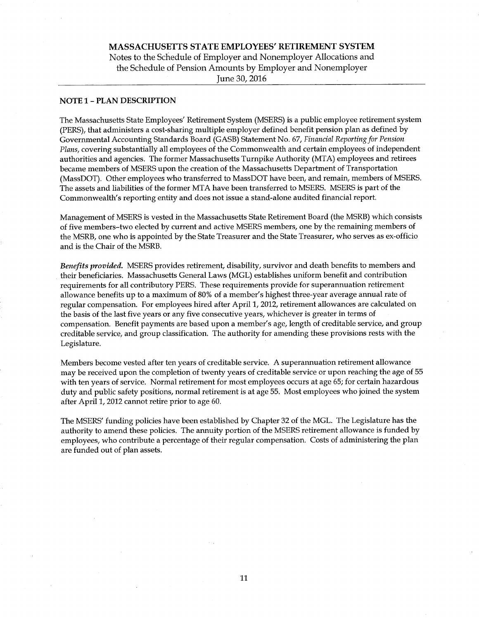# MASSACHUSETTS STATE EMPLOYEES' RETIREMENT SYSTEM Notes to the Schedule of Employer and Nonemployer Allocations and the Schedule of Pension Amounts by Employer and Nonemployer June 30, 2016

#### NOTE 1-PLAN DESCRIPTION

The Massachusetts State Employees' Retirement System (MSERS) is a public employee retirement system (PERS), that administers acost-sharing multiple employer defined benefit pension plan as defined by Governmental Accounting Standards Board (GASB) Statement No. 67, Financial Reporting for Pension Plans, covering substantially all employees of the Commonwealth and certain employees of independent authorities and agencies. The former Massachusetts Turnpike Authority (MTA) employees and retirees became members of MSERS upon the creation of the Massachusetts Department of Transportation (MassDOT). Other employees who transferred to MassDOT have been, and remain, members of MSERS. The assets and liabilities of the former MTA have been transferred to MSERS. MSERS is part of the Commonwealth's reporting entity and does not issue astand-alone audited financial report.

Management of MSERS is vested in the Massachusetts State Retirement Board (the MSRB) which consists of five members-two elected by current and active MSERS members, one by the remaining members of the MSRB, one who is appointed by the State Treasurer and the State Treasurer, who serves as ex-officio and is the Chair of the MSRB.

Benefits provided. MSERS provides retirement, disability, survivor and death benefits to members and their beneficiaries. Massachusetts General Laws (MGL) establishes uniform benefit and contribution requirements for all contributory PERS. These requirements provide for superannuation retirement allowance benefits up to a maximum of 80% of a member's highest three-year average annual rate of regular compensation. For employees hired after Apri11, 2012, retirement allowances are calculated on the basis of the last five years or any five consecutive years, whichever is greater in terms of compensation. Benefit payments are based upon a member's age, length of creditable service, and group creditable service, and group classification. The authority for amending these provisions rests with the Legislature.

Members become vested after ten years of creditable service. A superannuation retirement allowance may be received upon the completion of twenty years of creditable service or upon reaching the age of 55 with ten years of service. Normal retirement for most employees occurs at age 65; for certain hazardous duty and public safety positions, normal retirement is at age 55. Most employees who joined the system after Apri11, 2012 cannot retire prior to age 60.

The MSERS' funding policies have been established by Chapter 32 of the MGL. The Legislature has the authority to amend these policies. The annuity portion of the MSERS retirement allowance is funded by employees, who contribute a percentage of their regular compensation. Costs of administering the plan are funded out of plan assets.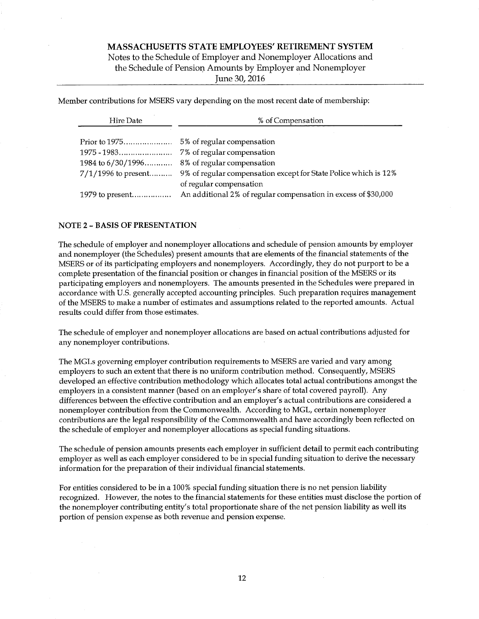Notes to the Schedule of Employer and Nonemployer Allocations and the Schedule of Pension Amounts by Employer and Nonemployer

June 30, 2016

Member contributions for MSERS vary depending on the most recent date of membership:

| Hire Date             | % of Compensation                                               |  |  |
|-----------------------|-----------------------------------------------------------------|--|--|
|                       |                                                                 |  |  |
|                       | 7% of regular compensation                                      |  |  |
| 1984 to $6/30/1996$   | 8% of regular compensation                                      |  |  |
| $7/1/1996$ to present | 9% of regular compensation except for State Police which is 12% |  |  |
|                       | of regular compensation                                         |  |  |
|                       | An additional 2% of regular compensation in excess of \$30,000  |  |  |

#### NOTE 2 - BASIS OF PRESENTATION

The schedule of employer and nonemployer allocations and schedule of pension amounts by employer and nonemployer (the Schedules) present amounts that are elements of the financial statements of the MSERS or of its participating employers and nonemployers. Accordingly, they do not purport to be a complete presentation of the financial position or changes in financial position of the MSERS or its participating employers and nonemployers. The amounts presented in the Schedules were prepared in accordance with U.S. generally accepted accounting principles. Such preparation requires management of the MSERS to make a number of estimates and assumptions related to the reported amounts. Actual results could differ from those estimates.

The schedule of employer and nonemployer allocations are based on actual contributions adjusted for any nonemployer contributions.

The MGLs governing employer contribution requirements to MSERS are varied and vary among employers to such an extent that there is no uniform contribution method. Consequently, MSERS developed an effective contribution methodology which allocates total actual contributions amongst the employers in a consistent manner (based on an employer's share of total covered payroll). Any differences between the effective contribution and an employer's actual contributions are considered a nonemployer contribution from the Commonwealth. According to MGL, certain nonemployer contributions are the legal responsibility of the Commonwealth and have accordingly been reflected on the schedule of employer and nonemployer allocations as special funding situations.

The schedule of pension amounts presents each employer in sufficient detail to permit each contributing employer as well as each employer considered to be in special funding situation to derive the necessary information for the preparation of their individual financial statements.

For entities considered to be in a 100% special funding situation there is no net pension liability recognized. However, the notes to the financial statements for these entities must disclose the portion of the nonemployer contributing entity's total proportionate share of the net pension liability as well its portion of pension expense as both revenue and pension expense.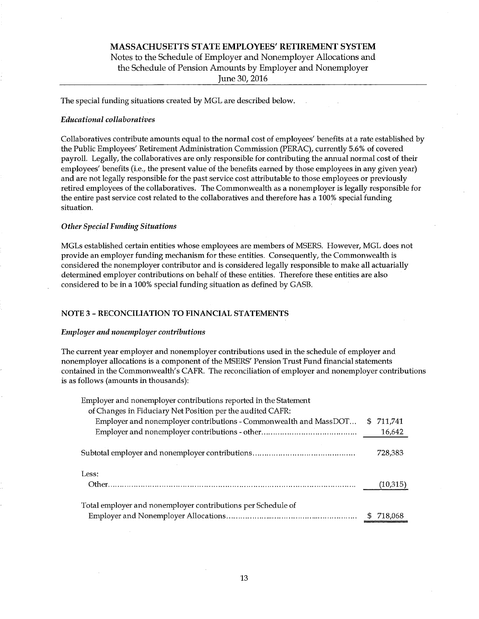# MASSACHUSETTS STATE EMPLOYEES' RETIREMENT SYSTEM Notes to the Schedule of Employer and Nonemployer Allocations and the Schedule of Pension Amounts by Employer and Nonemployer June 30, 2016

The special funding situations created by MGL are described below

#### **Educational collaboratives**

Collaboratives contribute amounts equal to the normal cost of employees' benefits at a rate established by the Public Employees' Retirement Administration Commission (PERAC), currently 5.6% of covered payroll. Legally, the collaboratives are only responsible for contributing the annual normal cost of their employees' benefits (i.e., the present value of the benefits earned by those employees in any given year) and are not legally responsible for the past service cost attributable to those employees or previously retired employees of the collaboratives. The Commonwealth as a nonemployer is legally responsible for the entire past service cost related to the collaboratives and therefore has a 100% special funding situation.

#### **Other Special Funding Situations**

MGLs established certain entities whose employees are members of MSERS. However, MGL does not provide an employer funding mechanism for these entities. Consequently, the Commonwealth is considered the nonemployer contributor and is considered legally responsible. to make all actuarially determined employer contributions on behalf of these entities. Therefore these entities are also considered to be in a 100% special funding situation as defined by GASB.

#### NOTE 3 -RECONCILIATION TO FINANCIAL STATEMENTS

#### Employer and nonemployer contributions

The current year employer and nonemployer contributions used in the schedule of employer and nonemployer allocations is a component of the MSERS' Pension Trust Fund financial statements contained in the Commonwealth's CAFR. The reconciliation of employer and nonemployer contributions is as follows (amounts in thousands):

| Employer and nonemployer contributions reported in the Statement  |    |          |
|-------------------------------------------------------------------|----|----------|
| of Changes in Fiduciary Net Position per the audited CAFR:        |    |          |
| Employer and nonemployer contributions - Commonwealth and MassDOT | S. | 711.741  |
|                                                                   |    | 16,642   |
|                                                                   |    | 728,383  |
| Less:                                                             |    |          |
|                                                                   |    | (10,315) |
| Total employer and nonemployer contributions per Schedule of      |    |          |
|                                                                   |    | 718.068  |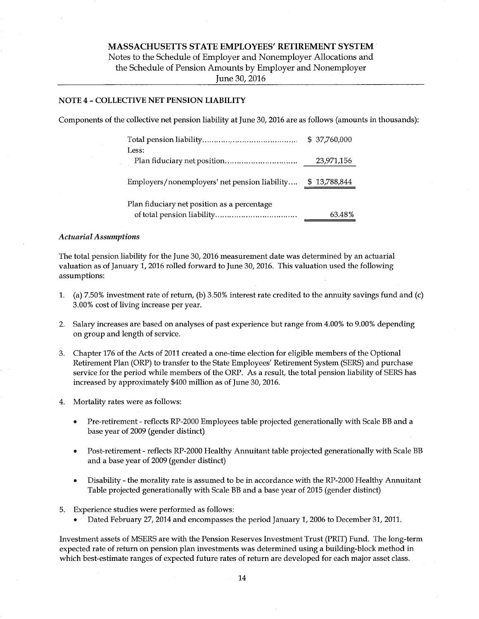Notes to the Schedule of Employer and Nonemployer.Allocations and the Schedule of Pension Amounts by Employer and Nonemployer June 30, 2016

### NOTE 4 -COLLECTIVE NET PENSION LIABILITY

Components of the collective net pension liability at June 30, 2016 are as follows (amounts in thousands):

|                                               | \$ 37,760,000 |
|-----------------------------------------------|---------------|
| Less:                                         |               |
|                                               | 23,971,156    |
| Employers/nonemployers' net pension liability | \$13,788,844  |
| Plan fiduciary net position as a percentage   |               |
|                                               | 63.48%        |

#### Actuarial Assumptions

The total pension liability for the June 30, 2016 measurement date was determined by an actuarial valuation as of January 1, 2016 rolled forward to June 30, 2016. This valuation used the following assumptions:

- 1. (a) 7.50%investment rate of return, (b) 3.50% interest rate credited to the annuity savings fund and (c) 3.00% cost of living increase per year.
- 2. Salary increases are based on analyses of past experience but range from 4.00% to 9.00% depending on group and length of service.
- 3. Chapter 176 of the Acts of 2011 created aone-time election for eligible members of the Optional Retirement Plan (ORP) to transfer to the State Employees' Retirement System (SERB) and purchase service for the period while members of the ORP. As a result, the total pension liability of SERB has increased by approximately \$400 million as of June 30, 2016.
- 4. Mortality rates were as follows:
	- Pre-retirement reflects RP-2000 Employees table projected generationally with Scale BB and a  $\bullet$ base year of 2009 (gender distinct)
	- Post-retirement reflects RP-2000 Healthy Annuitant table projected generationally with Scale BB and a base year of 2009 (gender distinct)
	- Disability the morality rate is assumed to be in accordance with the RP-2000 Healthy Annuitant Table projected generationally with Scale BB and a base year of 2015 (gender distinct)
- 5. Experience studies were performed as follows:
	- Dated February 27, 2014 and encompasses the period January 1, 2006 to December 31, 2011.

Investment assets of MSERS are with the Pension Reserves Investment Trust (PRIT) Fund. The long-term expected rate of return on pension plan investments was determined using abuilding-block method in which best-estimate ranges of expected future rates of return are developed for each major asset class.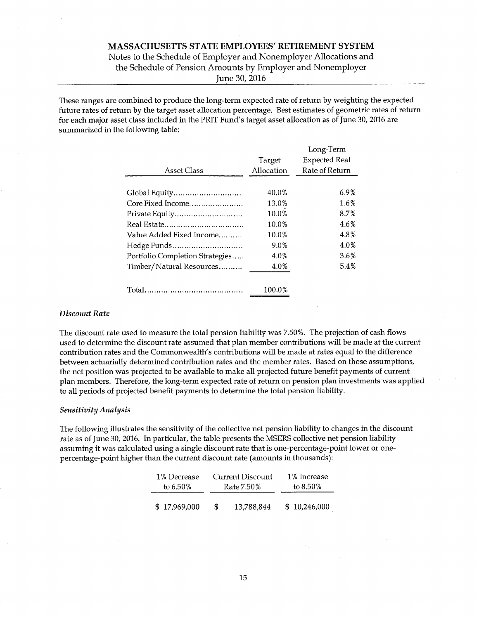# Notes to the Schedule of Employer and Nonemployer Allocations and the Schedule of Pension Amounts by Employer and Nonemployer June 30, 2016

These ranges are combined to produce the long-term expected rate of return by weighting the expected future rates of return by the target asset allocation percentage. Best estimates of geometric rates of return for each major asset class included in the PRIT Fund's target asset allocation as of June 30, 2016 are summarized in the following table:

|                                 |            | Long-Term            |
|---------------------------------|------------|----------------------|
|                                 | Target     | <b>Expected Real</b> |
| Asset Class                     | Allocation | Rate of Return       |
|                                 |            |                      |
| Global Equity                   | 40.0%      | 6.9%                 |
| Core Fixed Income               | 13.0%      | 1.6%                 |
| Private Equity                  | 10.0%      | 8.7%                 |
|                                 | 10.0%      | 4.6%                 |
| Value Added Fixed Income        | 10.0%      | 4.8%                 |
| Hedge Funds                     | 9.0%       | 4.0%                 |
| Portfolio Completion Strategies | 4.0%       | 3.6%                 |
| Timber/Natural Resources        | 4.0%       | 5.4%                 |
|                                 | 100.0%     |                      |

#### Discount Rate

The discount rate used to measure the total pension liability was 7.50%. The projection of cash flows used to determine the discount rate assumed that plan member contributions will be made at the current contribution rates and the Commonwealth's contributions will be made at rates equal to the difference between actuarially determined contribution rates and the member rates. Based on those assumptions, the net position was projected to be available to make all projected future benefit payments of current plan members. Therefore, the long-term expected rate of return on pension plan investments was applied to all periods of projected benefit payments to determine the total pension liability.

#### Sensitivity Analysis

The following illustrates the sensitivity of the collective net pension liability to changes in the discount rate as of June 30, 2016. In particular, the table presents the MSERS collective net pension liability assuming it was calculated using a single discount rate that is one-percentage-point lower or onepercentage-point higher than the current discount rate (amounts in thousands):

| 1% Decrease  | Current Discount<br>Rate 7.50% |            | 1% Increase |              |  |
|--------------|--------------------------------|------------|-------------|--------------|--|
| to $6.50\%$  |                                |            |             | to $8.50\%$  |  |
| \$17,969,000 | S.                             | 13,788,844 |             | \$10,246,000 |  |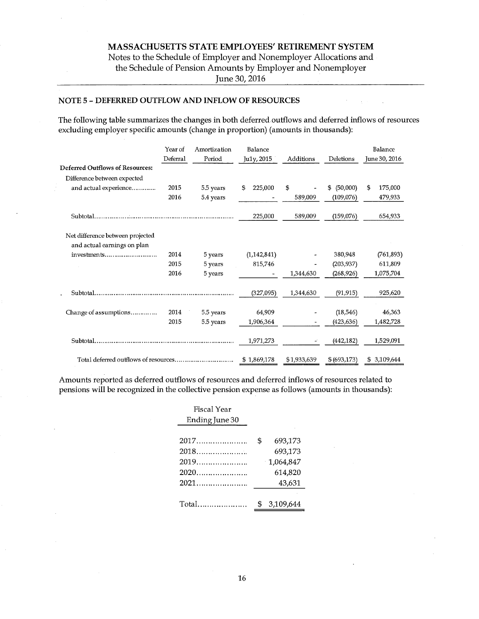# MASSACHUSETTS STATE EMPLOYEES' RETIREMENT SYSTEM Notes to the Schedule of Employer and Nonemployer Allocations and the Schedule of Pension Amounts by Employer and Nonemployer

June 30, 2016

### NOTE 5 -DEFERRED OUTFLOW AND INFLOW OF RESOURCES

The following table summarizes the changes in both deferred outflows and deferred inflows of resources excluding employer specific amounts (change in proportion) (amounts in thousands):

|                                        | Year of<br>Deferral | Amortization<br>Period | Balance<br>Ju1y, 2015 | Additions   | Deletions      | Balance<br>June 30, 2016 |
|----------------------------------------|---------------------|------------------------|-----------------------|-------------|----------------|--------------------------|
| <b>Deferred Outflows of Resources:</b> |                     |                        |                       |             |                |                          |
| Difference between expected            |                     |                        |                       |             |                |                          |
| and actual experience                  | 2015                | 5.5 years              | 225,000<br>\$         | \$          | (50,000)<br>\$ | \$<br>175,000            |
|                                        | 2016                | 5.4 years              |                       | 589,009     | (109,076)      | 479,933                  |
|                                        |                     |                        | 225,000               | 589,009     | (159,076)      | 654,933                  |
| Net difference between projected       |                     |                        |                       |             |                |                          |
| and actual earnings on plan            |                     |                        |                       |             |                |                          |
| investments                            | 2014                | 5 years                | (1, 142, 841)         |             | 380,948        | (761, 893)               |
|                                        | 2015                | 5 years                | 815,746               |             | (203, 937)     | 611,809                  |
|                                        | 2016                | 5 years                |                       | 1,344,630   | (268, 926)     | 1,075,704                |
|                                        |                     |                        | (327,095)             | 1,344,630   | (91, 915)      | 925,620                  |
| Change of assumptions                  | 2014                | 5.5 years              | 64,909                |             | (18, 546)      | 46,363                   |
|                                        | 2015                | 5.5 years              | 1,906,364             |             | (423, 636)     | 1,482,728                |
|                                        |                     |                        | 1,971,273             |             | (442, 182)     | 1,529,091                |
|                                        |                     |                        | \$1,869,178           | \$1,933,639 | \$ (693, 173)  | \$3,109,644              |

Amounts reported as deferred outflows of resources and deferred inflows of resources related to pensions will be recognized in the collective pension expense as follows (amounts in thousands):

| Fiscal Year<br>Ending June 30 |                                                            |
|-------------------------------|------------------------------------------------------------|
| $2017$<br>2019                | \$<br>693,173<br>693,173<br>1,064,847<br>614,820<br>43,631 |
|                               | \$<br>3,109,644                                            |